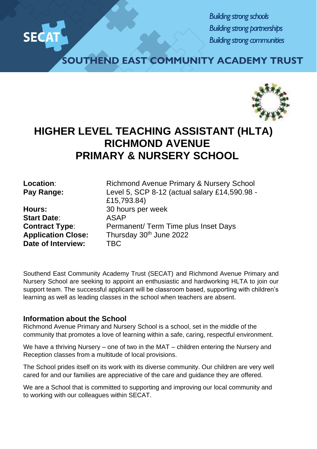

*Building strong schools Building strong partnerships Building strong communities*

**SOUTHEND EAST COMMUNITY ACADEMY TRUST**



## **HIGHER LEVEL TEACHING ASSISTANT (HLTA) RICHMOND AVENUE PRIMARY & NURSERY SCHOOL**

**Start Date**: ASAP **Date of Interview:** TBC

**Location:** Richmond Avenue Primary & Nursery School **Pay Range:** Level 5, SCP 8-12 (actual salary £14,590.98 - £15,793.84) **Hours:** 30 hours per week **Contract Type:** Permanent/ Term Time plus Inset Days Application Close: Thursday 30<sup>th</sup> June 2022

Southend East Community Academy Trust (SECAT) and Richmond Avenue Primary and Nursery School are seeking to appoint an enthusiastic and hardworking HLTA to join our support team. The successful applicant will be classroom based, supporting with children's learning as well as leading classes in the school when teachers are absent.

## **Information about the School**

Richmond Avenue Primary and Nursery School is a school, set in the middle of the community that promotes a love of learning within a safe, caring, respectful environment.

We have a thriving Nursery – one of two in the MAT – children entering the Nursery and Reception classes from a multitude of local provisions.

The School prides itself on its work with its diverse community. Our children are very well cared for and our families are appreciative of the care and guidance they are offered.

We are a School that is committed to supporting and improving our local community and to working with our colleagues within SECAT.